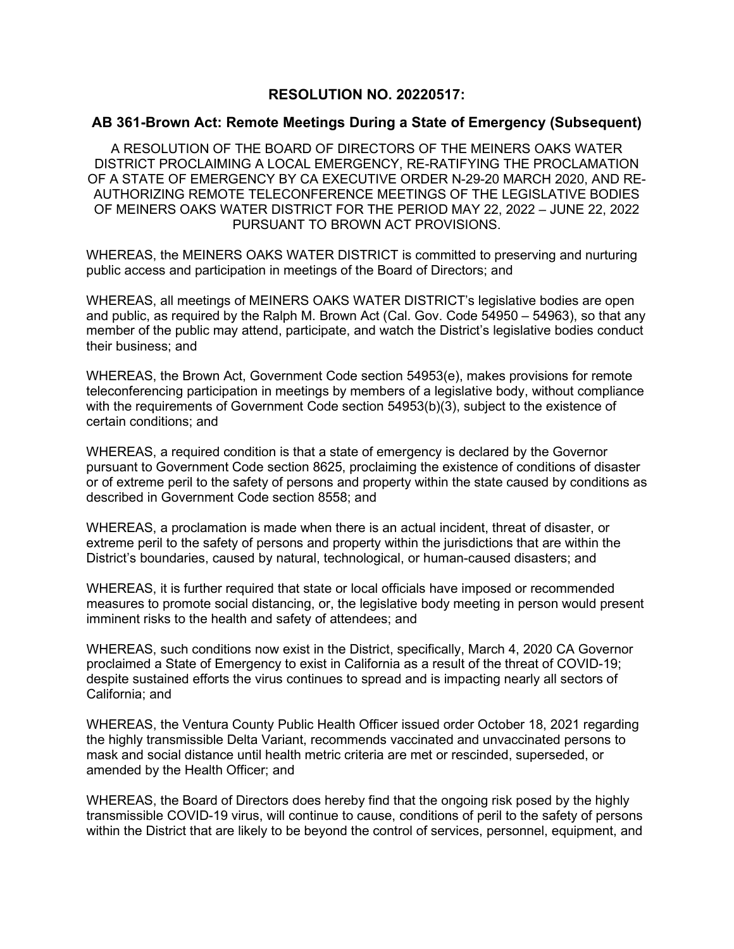## **RESOLUTION NO. 20220517:**

## **AB 361-Brown Act: Remote Meetings During a State of Emergency (Subsequent)**

A RESOLUTION OF THE BOARD OF DIRECTORS OF THE MEINERS OAKS WATER DISTRICT PROCLAIMING A LOCAL EMERGENCY, RE-RATIFYING THE PROCLAMATION OF A STATE OF EMERGENCY BY CA EXECUTIVE ORDER N-29-20 MARCH 2020, AND RE-AUTHORIZING REMOTE TELECONFERENCE MEETINGS OF THE LEGISLATIVE BODIES OF MEINERS OAKS WATER DISTRICT FOR THE PERIOD MAY 22, 2022 – JUNE 22, 2022 PURSUANT TO BROWN ACT PROVISIONS.

WHEREAS, the MEINERS OAKS WATER DISTRICT is committed to preserving and nurturing public access and participation in meetings of the Board of Directors; and

WHEREAS, all meetings of MEINERS OAKS WATER DISTRICT's legislative bodies are open and public, as required by the Ralph M. Brown Act (Cal. Gov. Code 54950 – 54963), so that any member of the public may attend, participate, and watch the District's legislative bodies conduct their business; and

WHEREAS, the Brown Act, Government Code section 54953(e), makes provisions for remote teleconferencing participation in meetings by members of a legislative body, without compliance with the requirements of Government Code section 54953(b)(3), subject to the existence of certain conditions; and

WHEREAS, a required condition is that a state of emergency is declared by the Governor pursuant to Government Code section 8625, proclaiming the existence of conditions of disaster or of extreme peril to the safety of persons and property within the state caused by conditions as described in Government Code section 8558; and

WHEREAS, a proclamation is made when there is an actual incident, threat of disaster, or extreme peril to the safety of persons and property within the jurisdictions that are within the District's boundaries, caused by natural, technological, or human-caused disasters; and

WHEREAS, it is further required that state or local officials have imposed or recommended measures to promote social distancing, or, the legislative body meeting in person would present imminent risks to the health and safety of attendees; and

WHEREAS, such conditions now exist in the District, specifically, March 4, 2020 CA Governor proclaimed a State of Emergency to exist in California as a result of the threat of COVID-19; despite sustained efforts the virus continues to spread and is impacting nearly all sectors of California; and

WHEREAS, the Ventura County Public Health Officer issued order October 18, 2021 regarding the highly transmissible Delta Variant, recommends vaccinated and unvaccinated persons to mask and social distance until health metric criteria are met or rescinded, superseded, or amended by the Health Officer; and

WHEREAS, the Board of Directors does hereby find that the ongoing risk posed by the highly transmissible COVID-19 virus, will continue to cause, conditions of peril to the safety of persons within the District that are likely to be beyond the control of services, personnel, equipment, and